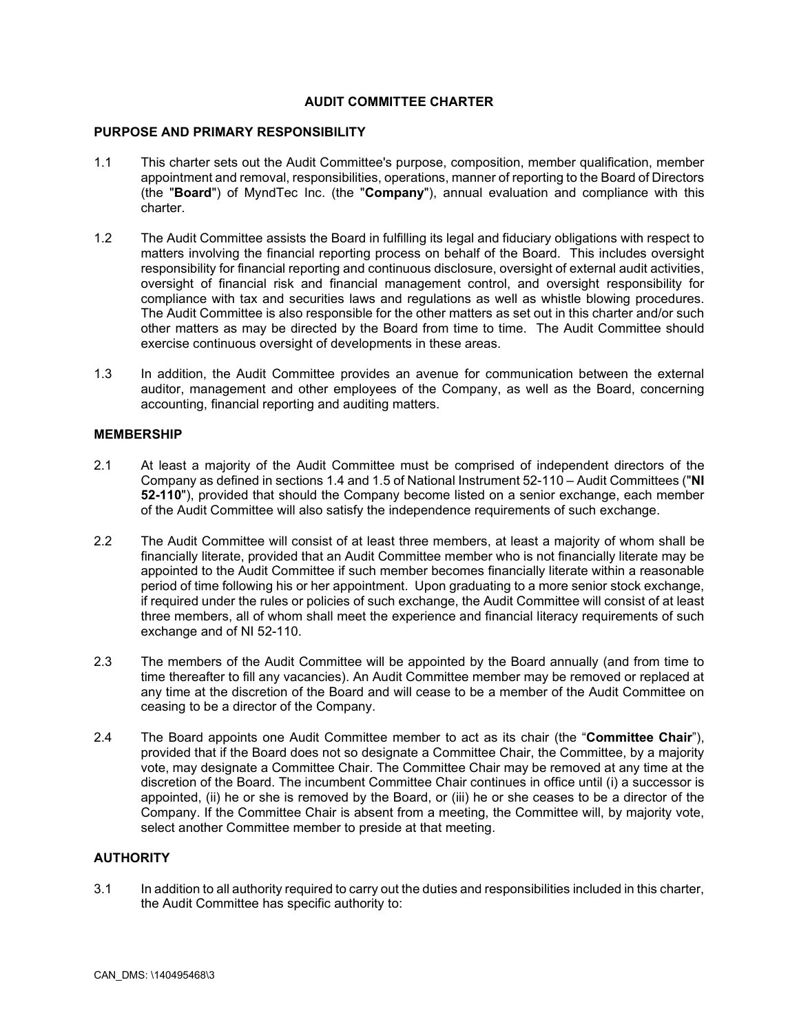### **AUDIT COMMITTEE CHARTER**

### **PURPOSE AND PRIMARY RESPONSIBILITY**

- 1.1 This charter sets out the Audit Committee's purpose, composition, member qualification, member appointment and removal, responsibilities, operations, manner of reporting to the Board of Directors (the "**Board**") of MyndTec Inc. (the "**Company**"), annual evaluation and compliance with this charter.
- 1.2 The Audit Committee assists the Board in fulfilling its legal and fiduciary obligations with respect to matters involving the financial reporting process on behalf of the Board. This includes oversight responsibility for financial reporting and continuous disclosure, oversight of external audit activities, oversight of financial risk and financial management control, and oversight responsibility for compliance with tax and securities laws and regulations as well as whistle blowing procedures. The Audit Committee is also responsible for the other matters as set out in this charter and/or such other matters as may be directed by the Board from time to time. The Audit Committee should exercise continuous oversight of developments in these areas.
- 1.3 In addition, the Audit Committee provides an avenue for communication between the external auditor, management and other employees of the Company, as well as the Board, concerning accounting, financial reporting and auditing matters.

### **MEMBERSHIP**

- 2.1 At least a majority of the Audit Committee must be comprised of independent directors of the Company as defined in sections 1.4 and 1.5 of National Instrument 52-110 – Audit Committees ("**NI 52-110**"), provided that should the Company become listed on a senior exchange, each member of the Audit Committee will also satisfy the independence requirements of such exchange.
- 2.2 The Audit Committee will consist of at least three members, at least a majority of whom shall be financially literate, provided that an Audit Committee member who is not financially literate may be appointed to the Audit Committee if such member becomes financially literate within a reasonable period of time following his or her appointment. Upon graduating to a more senior stock exchange, if required under the rules or policies of such exchange, the Audit Committee will consist of at least three members, all of whom shall meet the experience and financial literacy requirements of such exchange and of NI 52-110.
- 2.3 The members of the Audit Committee will be appointed by the Board annually (and from time to time thereafter to fill any vacancies). An Audit Committee member may be removed or replaced at any time at the discretion of the Board and will cease to be a member of the Audit Committee on ceasing to be a director of the Company.
- 2.4 The Board appoints one Audit Committee member to act as its chair (the "**Committee Chair**"), provided that if the Board does not so designate a Committee Chair, the Committee, by a majority vote, may designate a Committee Chair. The Committee Chair may be removed at any time at the discretion of the Board. The incumbent Committee Chair continues in office until (i) a successor is appointed, (ii) he or she is removed by the Board, or (iii) he or she ceases to be a director of the Company. If the Committee Chair is absent from a meeting, the Committee will, by majority vote, select another Committee member to preside at that meeting.

### **AUTHORITY**

3.1 In addition to all authority required to carry out the duties and responsibilities included in this charter, the Audit Committee has specific authority to: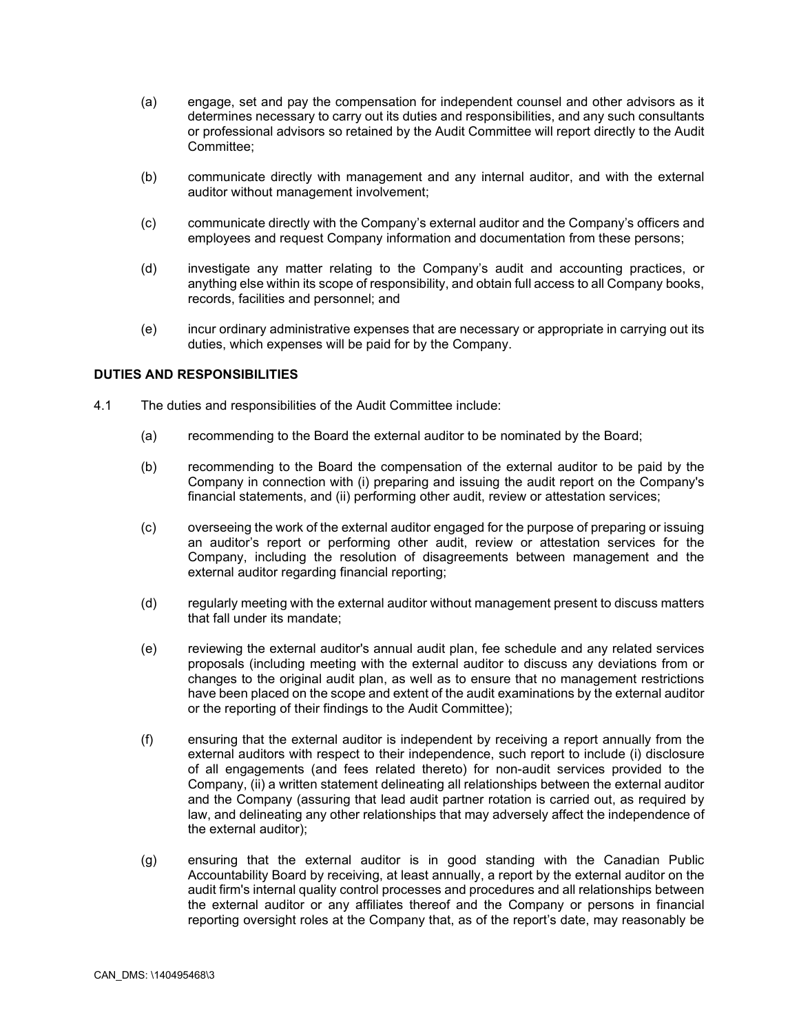- (a) engage, set and pay the compensation for independent counsel and other advisors as it determines necessary to carry out its duties and responsibilities, and any such consultants or professional advisors so retained by the Audit Committee will report directly to the Audit Committee;
- (b) communicate directly with management and any internal auditor, and with the external auditor without management involvement;
- (c) communicate directly with the Company's external auditor and the Company's officers and employees and request Company information and documentation from these persons;
- (d) investigate any matter relating to the Company's audit and accounting practices, or anything else within its scope of responsibility, and obtain full access to all Company books, records, facilities and personnel; and
- (e) incur ordinary administrative expenses that are necessary or appropriate in carrying out its duties, which expenses will be paid for by the Company.

# **DUTIES AND RESPONSIBILITIES**

- 4.1 The duties and responsibilities of the Audit Committee include:
	- (a) recommending to the Board the external auditor to be nominated by the Board;
	- (b) recommending to the Board the compensation of the external auditor to be paid by the Company in connection with (i) preparing and issuing the audit report on the Company's financial statements, and (ii) performing other audit, review or attestation services;
	- (c) overseeing the work of the external auditor engaged for the purpose of preparing or issuing an auditor's report or performing other audit, review or attestation services for the Company, including the resolution of disagreements between management and the external auditor regarding financial reporting;
	- (d) regularly meeting with the external auditor without management present to discuss matters that fall under its mandate;
	- (e) reviewing the external auditor's annual audit plan, fee schedule and any related services proposals (including meeting with the external auditor to discuss any deviations from or changes to the original audit plan, as well as to ensure that no management restrictions have been placed on the scope and extent of the audit examinations by the external auditor or the reporting of their findings to the Audit Committee);
	- (f) ensuring that the external auditor is independent by receiving a report annually from the external auditors with respect to their independence, such report to include (i) disclosure of all engagements (and fees related thereto) for non-audit services provided to the Company, (ii) a written statement delineating all relationships between the external auditor and the Company (assuring that lead audit partner rotation is carried out, as required by law, and delineating any other relationships that may adversely affect the independence of the external auditor);
	- (g) ensuring that the external auditor is in good standing with the Canadian Public Accountability Board by receiving, at least annually, a report by the external auditor on the audit firm's internal quality control processes and procedures and all relationships between the external auditor or any affiliates thereof and the Company or persons in financial reporting oversight roles at the Company that, as of the report's date, may reasonably be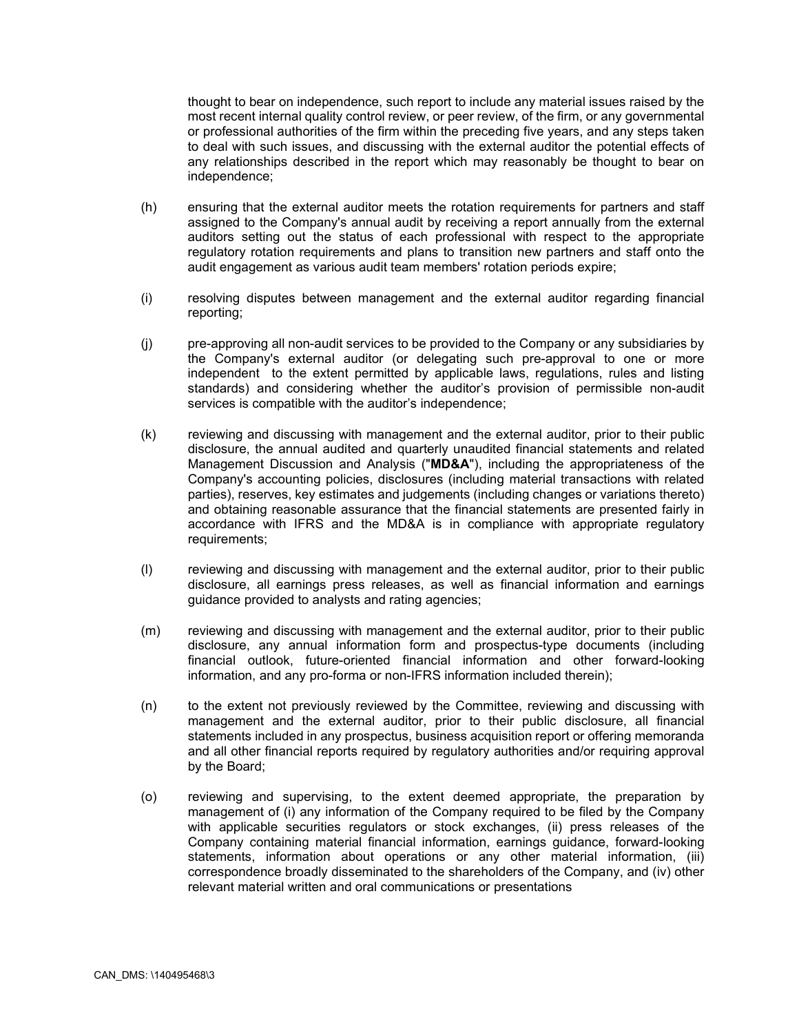thought to bear on independence, such report to include any material issues raised by the most recent internal quality control review, or peer review, of the firm, or any governmental or professional authorities of the firm within the preceding five years, and any steps taken to deal with such issues, and discussing with the external auditor the potential effects of any relationships described in the report which may reasonably be thought to bear on independence;

- (h) ensuring that the external auditor meets the rotation requirements for partners and staff assigned to the Company's annual audit by receiving a report annually from the external auditors setting out the status of each professional with respect to the appropriate regulatory rotation requirements and plans to transition new partners and staff onto the audit engagement as various audit team members' rotation periods expire;
- (i) resolving disputes between management and the external auditor regarding financial reporting;
- (j) pre-approving all non-audit services to be provided to the Company or any subsidiaries by the Company's external auditor (or delegating such pre-approval to one or more independent to the extent permitted by applicable laws, regulations, rules and listing standards) and considering whether the auditor's provision of permissible non-audit services is compatible with the auditor's independence;
- (k) reviewing and discussing with management and the external auditor, prior to their public disclosure, the annual audited and quarterly unaudited financial statements and related Management Discussion and Analysis ("**MD&A**"), including the appropriateness of the Company's accounting policies, disclosures (including material transactions with related parties), reserves, key estimates and judgements (including changes or variations thereto) and obtaining reasonable assurance that the financial statements are presented fairly in accordance with IFRS and the MD&A is in compliance with appropriate regulatory requirements;
- (l) reviewing and discussing with management and the external auditor, prior to their public disclosure, all earnings press releases, as well as financial information and earnings guidance provided to analysts and rating agencies;
- (m) reviewing and discussing with management and the external auditor, prior to their public disclosure, any annual information form and prospectus-type documents (including financial outlook, future-oriented financial information and other forward-looking information, and any pro-forma or non-IFRS information included therein);
- (n) to the extent not previously reviewed by the Committee, reviewing and discussing with management and the external auditor, prior to their public disclosure, all financial statements included in any prospectus, business acquisition report or offering memoranda and all other financial reports required by regulatory authorities and/or requiring approval by the Board;
- (o) reviewing and supervising, to the extent deemed appropriate, the preparation by management of (i) any information of the Company required to be filed by the Company with applicable securities regulators or stock exchanges, (ii) press releases of the Company containing material financial information, earnings guidance, forward-looking statements, information about operations or any other material information, (iii) correspondence broadly disseminated to the shareholders of the Company, and (iv) other relevant material written and oral communications or presentations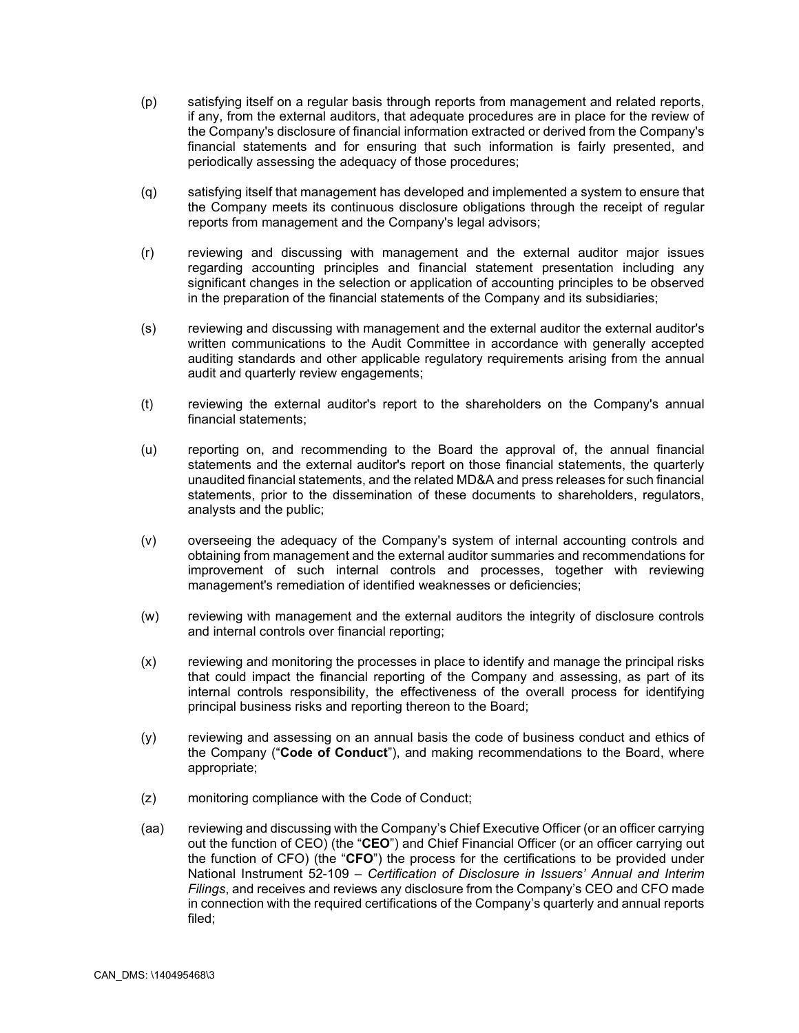- (p) satisfying itself on a regular basis through reports from management and related reports, if any, from the external auditors, that adequate procedures are in place for the review of the Company's disclosure of financial information extracted or derived from the Company's financial statements and for ensuring that such information is fairly presented, and periodically assessing the adequacy of those procedures;
- (q) satisfying itself that management has developed and implemented a system to ensure that the Company meets its continuous disclosure obligations through the receipt of regular reports from management and the Company's legal advisors;
- (r) reviewing and discussing with management and the external auditor major issues regarding accounting principles and financial statement presentation including any significant changes in the selection or application of accounting principles to be observed in the preparation of the financial statements of the Company and its subsidiaries;
- (s) reviewing and discussing with management and the external auditor the external auditor's written communications to the Audit Committee in accordance with generally accepted auditing standards and other applicable regulatory requirements arising from the annual audit and quarterly review engagements;
- (t) reviewing the external auditor's report to the shareholders on the Company's annual financial statements;
- (u) reporting on, and recommending to the Board the approval of, the annual financial statements and the external auditor's report on those financial statements, the quarterly unaudited financial statements, and the related MD&A and press releases for such financial statements, prior to the dissemination of these documents to shareholders, regulators, analysts and the public;
- (v) overseeing the adequacy of the Company's system of internal accounting controls and obtaining from management and the external auditor summaries and recommendations for improvement of such internal controls and processes, together with reviewing management's remediation of identified weaknesses or deficiencies;
- (w) reviewing with management and the external auditors the integrity of disclosure controls and internal controls over financial reporting;
- (x) reviewing and monitoring the processes in place to identify and manage the principal risks that could impact the financial reporting of the Company and assessing, as part of its internal controls responsibility, the effectiveness of the overall process for identifying principal business risks and reporting thereon to the Board;
- (y) reviewing and assessing on an annual basis the code of business conduct and ethics of the Company ("**Code of Conduct**"), and making recommendations to the Board, where appropriate;
- (z) monitoring compliance with the Code of Conduct;
- (aa) reviewing and discussing with the Company's Chief Executive Officer (or an officer carrying out the function of CEO) (the "**CEO**") and Chief Financial Officer (or an officer carrying out the function of CFO) (the "**CFO**") the process for the certifications to be provided under National Instrument 52-109 – *Certification of Disclosure in Issuers' Annual and Interim Filings*, and receives and reviews any disclosure from the Company's CEO and CFO made in connection with the required certifications of the Company's quarterly and annual reports filed;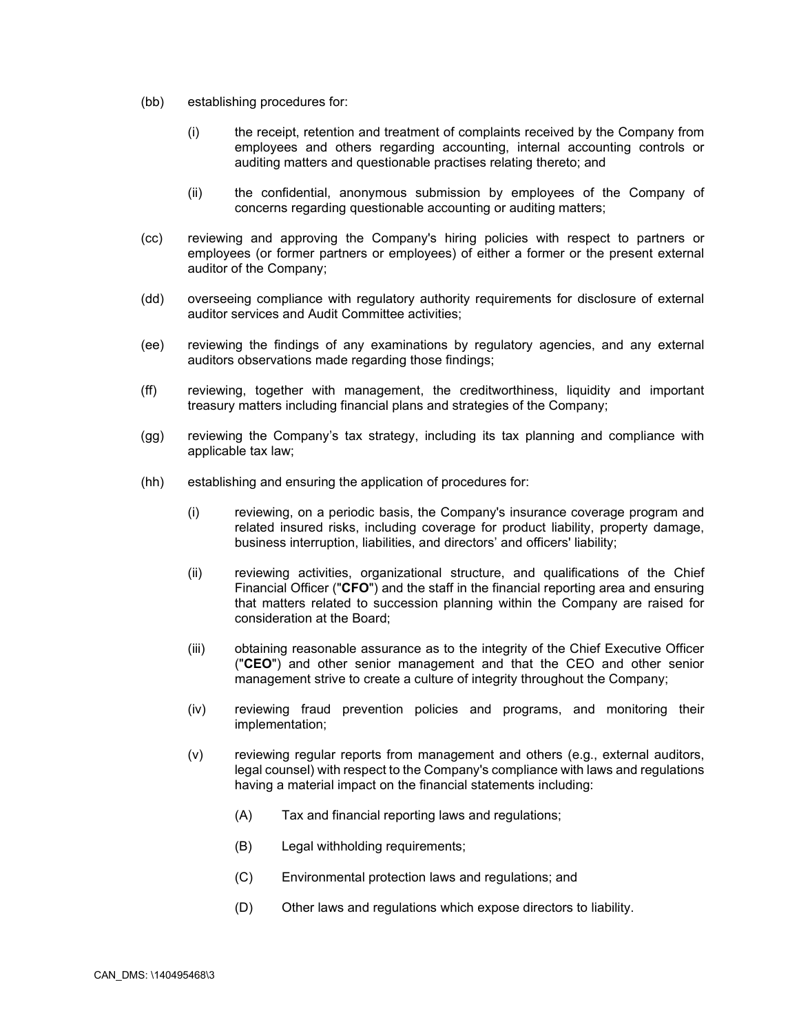- (bb) establishing procedures for:
	- (i) the receipt, retention and treatment of complaints received by the Company from employees and others regarding accounting, internal accounting controls or auditing matters and questionable practises relating thereto; and
	- (ii) the confidential, anonymous submission by employees of the Company of concerns regarding questionable accounting or auditing matters;
- (cc) reviewing and approving the Company's hiring policies with respect to partners or employees (or former partners or employees) of either a former or the present external auditor of the Company;
- (dd) overseeing compliance with regulatory authority requirements for disclosure of external auditor services and Audit Committee activities;
- (ee) reviewing the findings of any examinations by regulatory agencies, and any external auditors observations made regarding those findings;
- (ff) reviewing, together with management, the creditworthiness, liquidity and important treasury matters including financial plans and strategies of the Company;
- (gg) reviewing the Company's tax strategy, including its tax planning and compliance with applicable tax law;
- (hh) establishing and ensuring the application of procedures for:
	- (i) reviewing, on a periodic basis, the Company's insurance coverage program and related insured risks, including coverage for product liability, property damage, business interruption, liabilities, and directors' and officers' liability;
	- (ii) reviewing activities, organizational structure, and qualifications of the Chief Financial Officer ("**CFO**") and the staff in the financial reporting area and ensuring that matters related to succession planning within the Company are raised for consideration at the Board;
	- (iii) obtaining reasonable assurance as to the integrity of the Chief Executive Officer ("**CEO**") and other senior management and that the CEO and other senior management strive to create a culture of integrity throughout the Company;
	- (iv) reviewing fraud prevention policies and programs, and monitoring their implementation;
	- (v) reviewing regular reports from management and others (e.g., external auditors, legal counsel) with respect to the Company's compliance with laws and regulations having a material impact on the financial statements including:
		- (A) Tax and financial reporting laws and regulations;
		- (B) Legal withholding requirements;
		- (C) Environmental protection laws and regulations; and
		- (D) Other laws and regulations which expose directors to liability.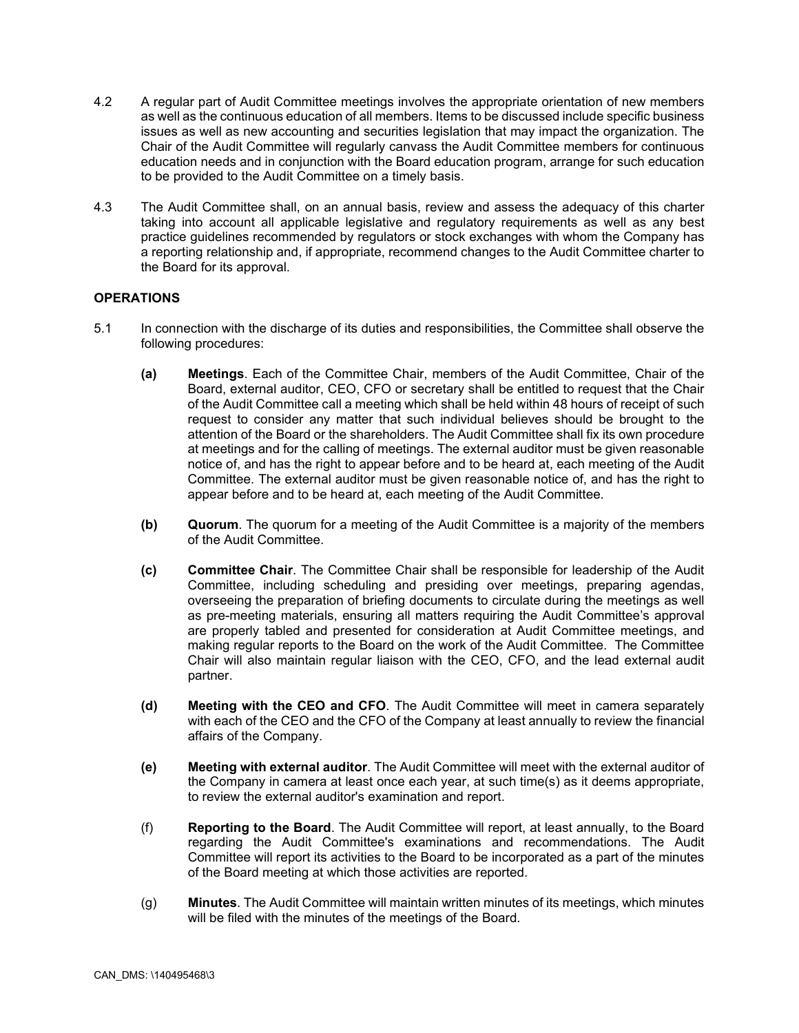- 4.2 A regular part of Audit Committee meetings involves the appropriate orientation of new members as well as the continuous education of all members. Items to be discussed include specific business issues as well as new accounting and securities legislation that may impact the organization. The Chair of the Audit Committee will regularly canvass the Audit Committee members for continuous education needs and in conjunction with the Board education program, arrange for such education to be provided to the Audit Committee on a timely basis.
- 4.3 The Audit Committee shall, on an annual basis, review and assess the adequacy of this charter taking into account all applicable legislative and regulatory requirements as well as any best practice guidelines recommended by regulators or stock exchanges with whom the Company has a reporting relationship and, if appropriate, recommend changes to the Audit Committee charter to the Board for its approval.

## **OPERATIONS**

- 5.1 In connection with the discharge of its duties and responsibilities, the Committee shall observe the following procedures:
	- **(a) Meetings**. Each of the Committee Chair, members of the Audit Committee, Chair of the Board, external auditor, CEO, CFO or secretary shall be entitled to request that the Chair of the Audit Committee call a meeting which shall be held within 48 hours of receipt of such request to consider any matter that such individual believes should be brought to the attention of the Board or the shareholders. The Audit Committee shall fix its own procedure at meetings and for the calling of meetings. The external auditor must be given reasonable notice of, and has the right to appear before and to be heard at, each meeting of the Audit Committee. The external auditor must be given reasonable notice of, and has the right to appear before and to be heard at, each meeting of the Audit Committee.
	- **(b) Quorum**. The quorum for a meeting of the Audit Committee is a majority of the members of the Audit Committee.
	- **(c) Committee Chair**. The Committee Chair shall be responsible for leadership of the Audit Committee, including scheduling and presiding over meetings, preparing agendas, overseeing the preparation of briefing documents to circulate during the meetings as well as pre-meeting materials, ensuring all matters requiring the Audit Committee's approval are properly tabled and presented for consideration at Audit Committee meetings, and making regular reports to the Board on the work of the Audit Committee. The Committee Chair will also maintain regular liaison with the CEO, CFO, and the lead external audit partner.
	- **(d) Meeting with the CEO and CFO**. The Audit Committee will meet in camera separately with each of the CEO and the CFO of the Company at least annually to review the financial affairs of the Company.
	- **(e) Meeting with external auditor**. The Audit Committee will meet with the external auditor of the Company in camera at least once each year, at such time(s) as it deems appropriate, to review the external auditor's examination and report.
	- (f) **Reporting to the Board**. The Audit Committee will report, at least annually, to the Board regarding the Audit Committee's examinations and recommendations. The Audit Committee will report its activities to the Board to be incorporated as a part of the minutes of the Board meeting at which those activities are reported.
	- (g) **Minutes**. The Audit Committee will maintain written minutes of its meetings, which minutes will be filed with the minutes of the meetings of the Board.